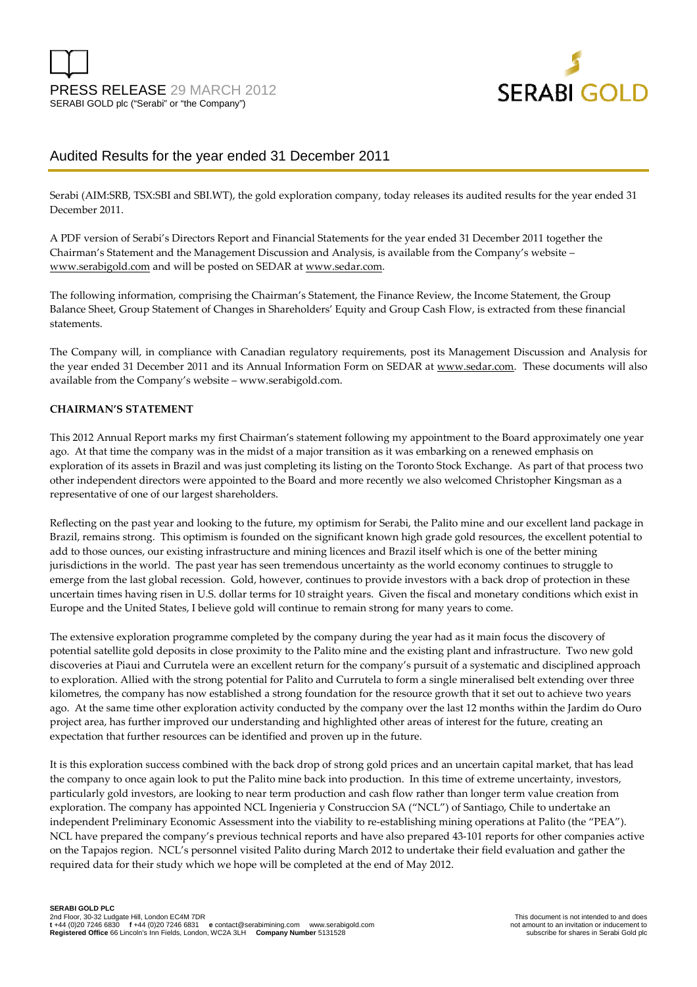



# Audited Results for the year ended 31 December 2011

Serabi (AIM:SRB, TSX:SBI and SBI.WT), the gold exploration company, today releases its audited results for the year ended 31 December 2011.

A PDF version of Serabi's Directors Report and Financial Statements for the year ended 31 December 2011 together the Chairman's Statement and the Management Discussion and Analysis, is available from the Company's website – www.serabigold.com and will be posted on SEDAR at www.sedar.com.

The following information, comprising the Chairman's Statement, the Finance Review, the Income Statement, the Group Balance Sheet, Group Statement of Changes in Shareholders' Equity and Group Cash Flow, is extracted from these financial statements.

The Company will, in compliance with Canadian regulatory requirements, post its Management Discussion and Analysis for the year ended 31 December 2011 and its Annual Information Form on SEDAR at www.sedar.com. These documents will also available from the Company's website – www.serabigold.com.

#### **CHAIRMAN'S STATEMENT**

This 2012 Annual Report marks my first Chairman's statement following my appointment to the Board approximately one year ago. At that time the company was in the midst of a major transition as it was embarking on a renewed emphasis on exploration of its assets in Brazil and was just completing its listing on the Toronto Stock Exchange. As part of that process two other independent directors were appointed to the Board and more recently we also welcomed Christopher Kingsman as a representative of one of our largest shareholders.

Reflecting on the past year and looking to the future, my optimism for Serabi, the Palito mine and our excellent land package in Brazil, remains strong. This optimism is founded on the significant known high grade gold resources, the excellent potential to add to those ounces, our existing infrastructure and mining licences and Brazil itself which is one of the better mining jurisdictions in the world. The past year has seen tremendous uncertainty as the world economy continues to struggle to emerge from the last global recession. Gold, however, continues to provide investors with a back drop of protection in these uncertain times having risen in U.S. dollar terms for 10 straight years. Given the fiscal and monetary conditions which exist in Europe and the United States, I believe gold will continue to remain strong for many years to come.

The extensive exploration programme completed by the company during the year had as it main focus the discovery of potential satellite gold deposits in close proximity to the Palito mine and the existing plant and infrastructure. Two new gold discoveries at Piaui and Currutela were an excellent return for the company's pursuit of a systematic and disciplined approach to exploration. Allied with the strong potential for Palito and Currutela to form a single mineralised belt extending over three kilometres, the company has now established a strong foundation for the resource growth that it set out to achieve two years ago. At the same time other exploration activity conducted by the company over the last 12 months within the Jardim do Ouro project area, has further improved our understanding and highlighted other areas of interest for the future, creating an expectation that further resources can be identified and proven up in the future.

It is this exploration success combined with the back drop of strong gold prices and an uncertain capital market, that has lead the company to once again look to put the Palito mine back into production. In this time of extreme uncertainty, investors, particularly gold investors, are looking to near term production and cash flow rather than longer term value creation from exploration. The company has appointed NCL Ingenieria y Construccion SA ("NCL") of Santiago, Chile to undertake an independent Preliminary Economic Assessment into the viability to re-establishing mining operations at Palito (the "PEA"). NCL have prepared the company's previous technical reports and have also prepared 43-101 reports for other companies active on the Tapajos region. NCL's personnel visited Palito during March 2012 to undertake their field evaluation and gather the required data for their study which we hope will be completed at the end of May 2012.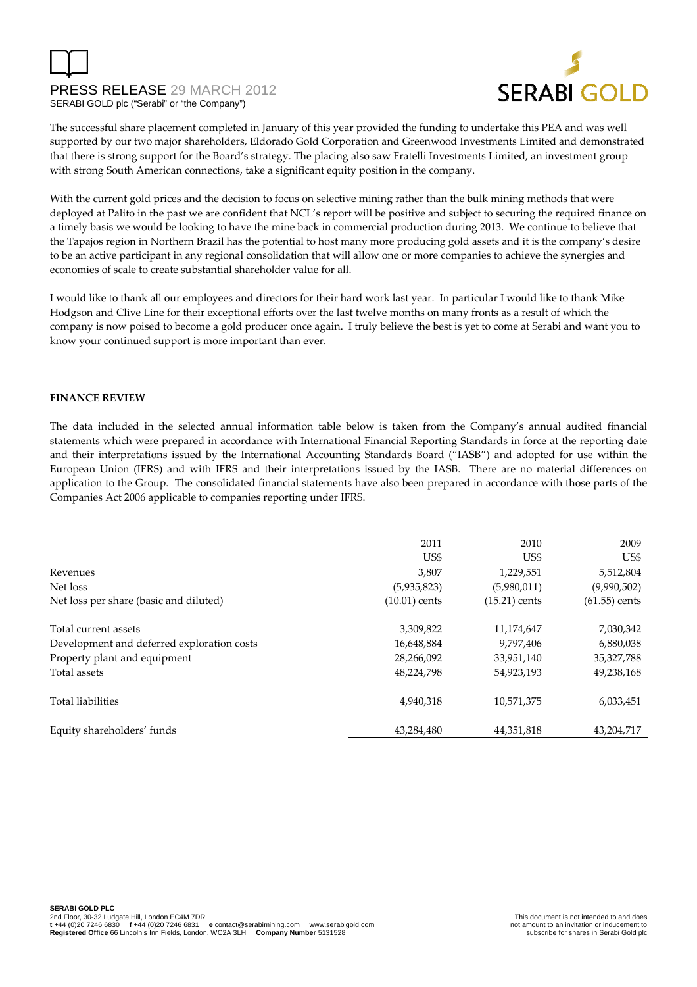

The successful share placement completed in January of this year provided the funding to undertake this PEA and was well supported by our two major shareholders, Eldorado Gold Corporation and Greenwood Investments Limited and demonstrated that there is strong support for the Board's strategy. The placing also saw Fratelli Investments Limited, an investment group with strong South American connections, take a significant equity position in the company.

With the current gold prices and the decision to focus on selective mining rather than the bulk mining methods that were deployed at Palito in the past we are confident that NCL's report will be positive and subject to securing the required finance on a timely basis we would be looking to have the mine back in commercial production during 2013. We continue to believe that the Tapajos region in Northern Brazil has the potential to host many more producing gold assets and it is the company's desire to be an active participant in any regional consolidation that will allow one or more companies to achieve the synergies and economies of scale to create substantial shareholder value for all.

I would like to thank all our employees and directors for their hard work last year. In particular I would like to thank Mike Hodgson and Clive Line for their exceptional efforts over the last twelve months on many fronts as a result of which the company is now poised to become a gold producer once again. I truly believe the best is yet to come at Serabi and want you to know your continued support is more important than ever.

#### **FINANCE REVIEW**

The data included in the selected annual information table below is taken from the Company's annual audited financial statements which were prepared in accordance with International Financial Reporting Standards in force at the reporting date and their interpretations issued by the International Accounting Standards Board ("IASB") and adopted for use within the European Union (IFRS) and with IFRS and their interpretations issued by the IASB. There are no material differences on application to the Group. The consolidated financial statements have also been prepared in accordance with those parts of the Companies Act 2006 applicable to companies reporting under IFRS.

|                                            | 2011            | 2010            | 2009            |
|--------------------------------------------|-----------------|-----------------|-----------------|
|                                            | US\$            | US\$            | US\$            |
| Revenues                                   | 3,807           | 1,229,551       | 5,512,804       |
| Net loss                                   | (5,935,823)     | (5,980,011)     | (9,990,502)     |
| Net loss per share (basic and diluted)     | $(10.01)$ cents | $(15.21)$ cents | $(61.55)$ cents |
| Total current assets                       | 3,309,822       | 11,174,647      | 7,030,342       |
| Development and deferred exploration costs | 16,648,884      | 9,797,406       | 6,880,038       |
| Property plant and equipment               | 28,266,092      | 33,951,140      | 35,327,788      |
| Total assets                               | 48,224,798      | 54,923,193      | 49,238,168      |
| <b>Total liabilities</b>                   | 4,940,318       | 10,571,375      | 6,033,451       |
| Equity shareholders' funds                 | 43.284.480      | 44,351,818      | 43.204.717      |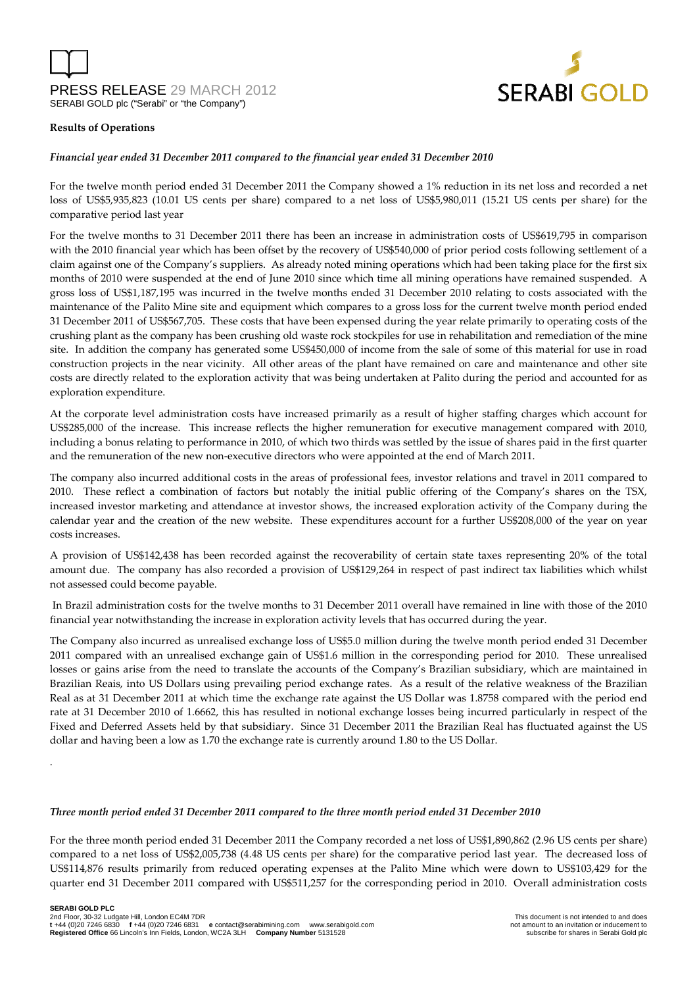



#### **Results of Operations**

.

#### *Financial year ended 31 December 2011 compared to the financial year ended 31 December 2010*

For the twelve month period ended 31 December 2011 the Company showed a 1% reduction in its net loss and recorded a net loss of US\$5,935,823 (10.01 US cents per share) compared to a net loss of US\$5,980,011 (15.21 US cents per share) for the comparative period last year

For the twelve months to 31 December 2011 there has been an increase in administration costs of US\$619,795 in comparison with the 2010 financial year which has been offset by the recovery of US\$540,000 of prior period costs following settlement of a claim against one of the Company's suppliers. As already noted mining operations which had been taking place for the first six months of 2010 were suspended at the end of June 2010 since which time all mining operations have remained suspended. A gross loss of US\$1,187,195 was incurred in the twelve months ended 31 December 2010 relating to costs associated with the maintenance of the Palito Mine site and equipment which compares to a gross loss for the current twelve month period ended 31 December 2011 of US\$567,705. These costs that have been expensed during the year relate primarily to operating costs of the crushing plant as the company has been crushing old waste rock stockpiles for use in rehabilitation and remediation of the mine site. In addition the company has generated some US\$450,000 of income from the sale of some of this material for use in road construction projects in the near vicinity. All other areas of the plant have remained on care and maintenance and other site costs are directly related to the exploration activity that was being undertaken at Palito during the period and accounted for as exploration expenditure.

At the corporate level administration costs have increased primarily as a result of higher staffing charges which account for US\$285,000 of the increase. This increase reflects the higher remuneration for executive management compared with 2010, including a bonus relating to performance in 2010, of which two thirds was settled by the issue of shares paid in the first quarter and the remuneration of the new non-executive directors who were appointed at the end of March 2011.

The company also incurred additional costs in the areas of professional fees, investor relations and travel in 2011 compared to 2010. These reflect a combination of factors but notably the initial public offering of the Company's shares on the TSX, increased investor marketing and attendance at investor shows, the increased exploration activity of the Company during the calendar year and the creation of the new website. These expenditures account for a further US\$208,000 of the year on year costs increases.

A provision of US\$142,438 has been recorded against the recoverability of certain state taxes representing 20% of the total amount due. The company has also recorded a provision of US\$129,264 in respect of past indirect tax liabilities which whilst not assessed could become payable.

 In Brazil administration costs for the twelve months to 31 December 2011 overall have remained in line with those of the 2010 financial year notwithstanding the increase in exploration activity levels that has occurred during the year.

The Company also incurred as unrealised exchange loss of US\$5.0 million during the twelve month period ended 31 December 2011 compared with an unrealised exchange gain of US\$1.6 million in the corresponding period for 2010. These unrealised losses or gains arise from the need to translate the accounts of the Company's Brazilian subsidiary, which are maintained in Brazilian Reais, into US Dollars using prevailing period exchange rates. As a result of the relative weakness of the Brazilian Real as at 31 December 2011 at which time the exchange rate against the US Dollar was 1.8758 compared with the period end rate at 31 December 2010 of 1.6662, this has resulted in notional exchange losses being incurred particularly in respect of the Fixed and Deferred Assets held by that subsidiary. Since 31 December 2011 the Brazilian Real has fluctuated against the US dollar and having been a low as 1.70 the exchange rate is currently around 1.80 to the US Dollar.

#### *Three month period ended 31 December 2011 compared to the three month period ended 31 December 2010*

For the three month period ended 31 December 2011 the Company recorded a net loss of US\$1,890,862 (2.96 US cents per share) compared to a net loss of US\$2,005,738 (4.48 US cents per share) for the comparative period last year. The decreased loss of US\$114,876 results primarily from reduced operating expenses at the Palito Mine which were down to US\$103,429 for the quarter end 31 December 2011 compared with US\$511,257 for the corresponding period in 2010. Overall administration costs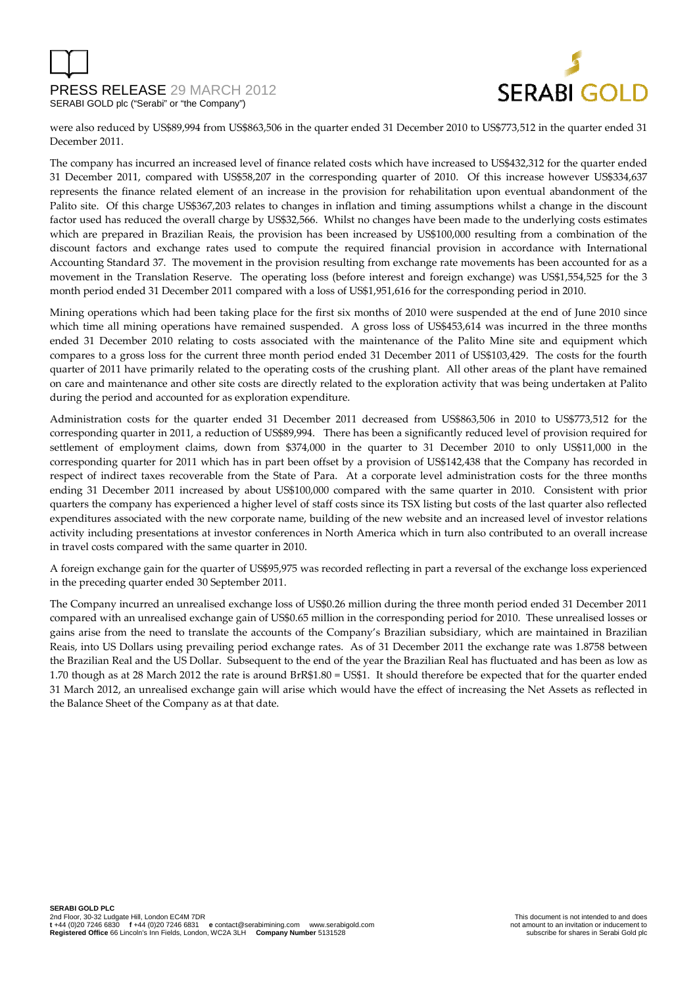

were also reduced by US\$89,994 from US\$863,506 in the quarter ended 31 December 2010 to US\$773,512 in the quarter ended 31 December 2011.

The company has incurred an increased level of finance related costs which have increased to US\$432,312 for the quarter ended 31 December 2011, compared with US\$58,207 in the corresponding quarter of 2010. Of this increase however US\$334,637 represents the finance related element of an increase in the provision for rehabilitation upon eventual abandonment of the Palito site. Of this charge US\$367,203 relates to changes in inflation and timing assumptions whilst a change in the discount factor used has reduced the overall charge by US\$32,566. Whilst no changes have been made to the underlying costs estimates which are prepared in Brazilian Reais, the provision has been increased by US\$100,000 resulting from a combination of the discount factors and exchange rates used to compute the required financial provision in accordance with International Accounting Standard 37. The movement in the provision resulting from exchange rate movements has been accounted for as a movement in the Translation Reserve. The operating loss (before interest and foreign exchange) was US\$1,554,525 for the 3 month period ended 31 December 2011 compared with a loss of US\$1,951,616 for the corresponding period in 2010.

Mining operations which had been taking place for the first six months of 2010 were suspended at the end of June 2010 since which time all mining operations have remained suspended. A gross loss of US\$453,614 was incurred in the three months ended 31 December 2010 relating to costs associated with the maintenance of the Palito Mine site and equipment which compares to a gross loss for the current three month period ended 31 December 2011 of US\$103,429. The costs for the fourth quarter of 2011 have primarily related to the operating costs of the crushing plant. All other areas of the plant have remained on care and maintenance and other site costs are directly related to the exploration activity that was being undertaken at Palito during the period and accounted for as exploration expenditure.

Administration costs for the quarter ended 31 December 2011 decreased from US\$863,506 in 2010 to US\$773,512 for the corresponding quarter in 2011, a reduction of US\$89,994. There has been a significantly reduced level of provision required for settlement of employment claims, down from \$374,000 in the quarter to 31 December 2010 to only US\$11,000 in the corresponding quarter for 2011 which has in part been offset by a provision of US\$142,438 that the Company has recorded in respect of indirect taxes recoverable from the State of Para. At a corporate level administration costs for the three months ending 31 December 2011 increased by about US\$100,000 compared with the same quarter in 2010. Consistent with prior quarters the company has experienced a higher level of staff costs since its TSX listing but costs of the last quarter also reflected expenditures associated with the new corporate name, building of the new website and an increased level of investor relations activity including presentations at investor conferences in North America which in turn also contributed to an overall increase in travel costs compared with the same quarter in 2010.

A foreign exchange gain for the quarter of US\$95,975 was recorded reflecting in part a reversal of the exchange loss experienced in the preceding quarter ended 30 September 2011.

The Company incurred an unrealised exchange loss of US\$0.26 million during the three month period ended 31 December 2011 compared with an unrealised exchange gain of US\$0.65 million in the corresponding period for 2010. These unrealised losses or gains arise from the need to translate the accounts of the Company's Brazilian subsidiary, which are maintained in Brazilian Reais, into US Dollars using prevailing period exchange rates. As of 31 December 2011 the exchange rate was 1.8758 between the Brazilian Real and the US Dollar. Subsequent to the end of the year the Brazilian Real has fluctuated and has been as low as 1.70 though as at 28 March 2012 the rate is around BrR\$1.80 = US\$1. It should therefore be expected that for the quarter ended 31 March 2012, an unrealised exchange gain will arise which would have the effect of increasing the Net Assets as reflected in the Balance Sheet of the Company as at that date.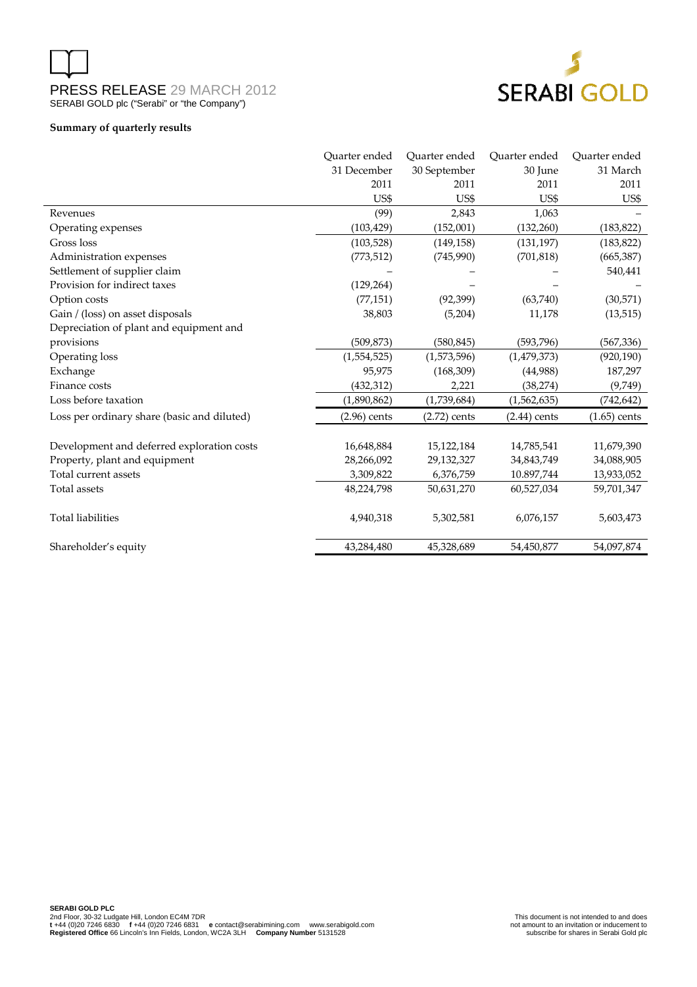

#### **Summary of quarterly results**

|                                             | Ouarter ended  | Ouarter ended  | Ouarter ended  | Ouarter ended  |
|---------------------------------------------|----------------|----------------|----------------|----------------|
|                                             | 31 December    | 30 September   | 30 June        | 31 March       |
|                                             | 2011           | 2011           | 2011           | 2011           |
|                                             | US\$           | US\$           | US\$           | US\$           |
| Revenues                                    | (99)           | 2,843          | 1,063          |                |
| Operating expenses                          | (103, 429)     | (152,001)      | (132, 260)     | (183, 822)     |
| Gross loss                                  | (103, 528)     | (149, 158)     | (131, 197)     | (183, 822)     |
| Administration expenses                     | (773, 512)     | (745,990)      | (701, 818)     | (665, 387)     |
| Settlement of supplier claim                |                |                |                | 540,441        |
| Provision for indirect taxes                | (129, 264)     |                |                |                |
| Option costs                                | (77, 151)      | (92, 399)      | (63,740)       | (30,571)       |
| Gain / (loss) on asset disposals            | 38,803         | (5,204)        | 11,178         | (13, 515)      |
| Depreciation of plant and equipment and     |                |                |                |                |
| provisions                                  | (509, 873)     | (580, 845)     | (593, 796)     | (567, 336)     |
| Operating loss                              | (1,554,525)    | (1,573,596)    | (1,479,373)    | (920, 190)     |
| Exchange                                    | 95,975         | (168, 309)     | (44,988)       | 187,297        |
| Finance costs                               | (432, 312)     | 2,221          | (38, 274)      | (9,749)        |
| Loss before taxation                        | (1,890,862)    | (1,739,684)    | (1,562,635)    | (742, 642)     |
| Loss per ordinary share (basic and diluted) | $(2.96)$ cents | $(2.72)$ cents | $(2.44)$ cents | $(1.65)$ cents |
| Development and deferred exploration costs  | 16,648,884     | 15,122,184     | 14,785,541     | 11,679,390     |
| Property, plant and equipment               | 28,266,092     | 29,132,327     | 34,843,749     | 34,088,905     |
| Total current assets                        | 3,309,822      | 6,376,759      | 10.897,744     | 13,933,052     |
| Total assets                                | 48,224,798     | 50,631,270     | 60,527,034     | 59,701,347     |
| <b>Total liabilities</b>                    | 4,940,318      | 5,302,581      | 6,076,157      | 5,603,473      |
| Shareholder's equity                        | 43,284,480     | 45,328,689     | 54,450,877     | 54,097,874     |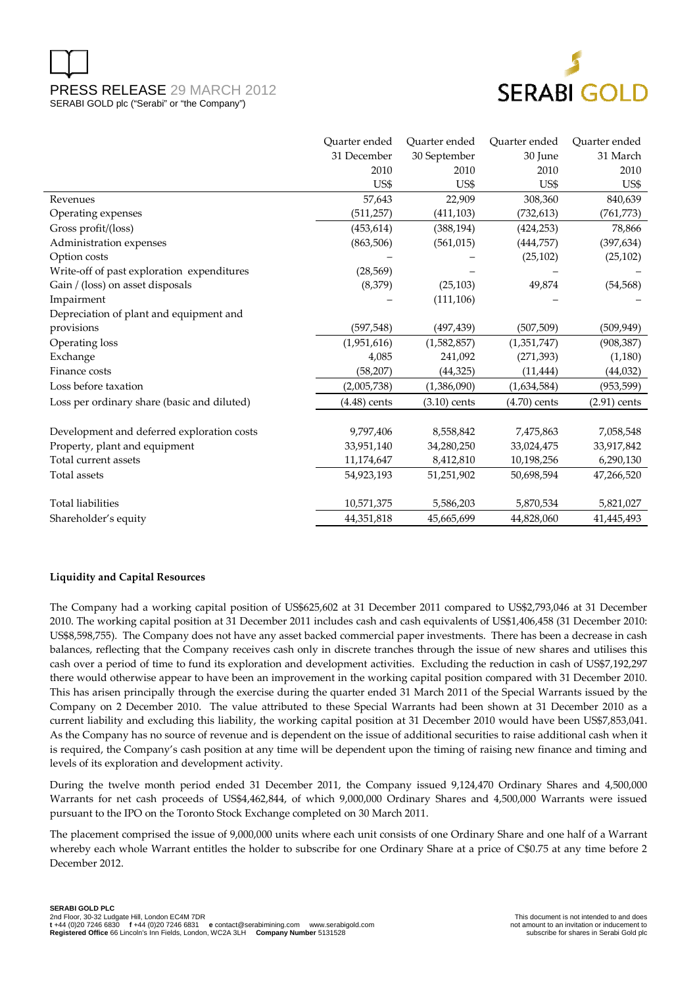

|                                             | Ouarter ended  | Ouarter ended  | Quarter ended  | Ouarter ended  |
|---------------------------------------------|----------------|----------------|----------------|----------------|
|                                             | 31 December    | 30 September   | 30 June        | 31 March       |
|                                             | 2010           | 2010           | 2010           | 2010           |
|                                             | US\$           | US\$           | US\$           | US\$           |
| Revenues                                    | 57,643         | 22,909         | 308,360        | 840,639        |
| Operating expenses                          | (511, 257)     | (411, 103)     | (732,613)      | (761, 773)     |
| Gross profit/(loss)                         | (453, 614)     | (388, 194)     | (424, 253)     | 78,866         |
| Administration expenses                     | (863, 506)     | (561, 015)     | (444,757)      | (397, 634)     |
| Option costs                                |                |                | (25, 102)      | (25, 102)      |
| Write-off of past exploration expenditures  | (28, 569)      |                |                |                |
| Gain / (loss) on asset disposals            | (8,379)        | (25, 103)      | 49,874         | (54, 568)      |
| Impairment                                  |                | (111, 106)     |                |                |
| Depreciation of plant and equipment and     |                |                |                |                |
| provisions                                  | (597, 548)     | (497,439)      | (507, 509)     | (509, 949)     |
| Operating loss                              | (1,951,616)    | (1,582,857)    | (1,351,747)    | (908, 387)     |
| Exchange                                    | 4,085          | 241,092        | (271, 393)     | (1,180)        |
| Finance costs                               | (58, 207)      | (44, 325)      | (11, 444)      | (44, 032)      |
| Loss before taxation                        | (2,005,738)    | (1,386,090)    | (1,634,584)    | (953, 599)     |
| Loss per ordinary share (basic and diluted) | $(4.48)$ cents | $(3.10)$ cents | $(4.70)$ cents | $(2.91)$ cents |
|                                             |                |                |                |                |
| Development and deferred exploration costs  | 9,797,406      | 8,558,842      | 7,475,863      | 7,058,548      |
| Property, plant and equipment               | 33,951,140     | 34,280,250     | 33,024,475     | 33,917,842     |
| Total current assets                        | 11,174,647     | 8,412,810      | 10,198,256     | 6,290,130      |
| Total assets                                | 54,923,193     | 51,251,902     | 50,698,594     | 47,266,520     |
| <b>Total liabilities</b>                    | 10,571,375     | 5,586,203      | 5,870,534      | 5,821,027      |
| Shareholder's equity                        | 44,351,818     | 45,665,699     | 44,828,060     | 41,445,493     |

### **Liquidity and Capital Resources**

The Company had a working capital position of US\$625,602 at 31 December 2011 compared to US\$2,793,046 at 31 December 2010. The working capital position at 31 December 2011 includes cash and cash equivalents of US\$1,406,458 (31 December 2010: US\$8,598,755). The Company does not have any asset backed commercial paper investments. There has been a decrease in cash balances, reflecting that the Company receives cash only in discrete tranches through the issue of new shares and utilises this cash over a period of time to fund its exploration and development activities. Excluding the reduction in cash of US\$7,192,297 there would otherwise appear to have been an improvement in the working capital position compared with 31 December 2010. This has arisen principally through the exercise during the quarter ended 31 March 2011 of the Special Warrants issued by the Company on 2 December 2010. The value attributed to these Special Warrants had been shown at 31 December 2010 as a current liability and excluding this liability, the working capital position at 31 December 2010 would have been US\$7,853,041. As the Company has no source of revenue and is dependent on the issue of additional securities to raise additional cash when it is required, the Company's cash position at any time will be dependent upon the timing of raising new finance and timing and levels of its exploration and development activity.

During the twelve month period ended 31 December 2011, the Company issued 9,124,470 Ordinary Shares and 4,500,000 Warrants for net cash proceeds of US\$4,462,844, of which 9,000,000 Ordinary Shares and 4,500,000 Warrants were issued pursuant to the IPO on the Toronto Stock Exchange completed on 30 March 2011.

The placement comprised the issue of 9,000,000 units where each unit consists of one Ordinary Share and one half of a Warrant whereby each whole Warrant entitles the holder to subscribe for one Ordinary Share at a price of C\$0.75 at any time before 2 December 2012.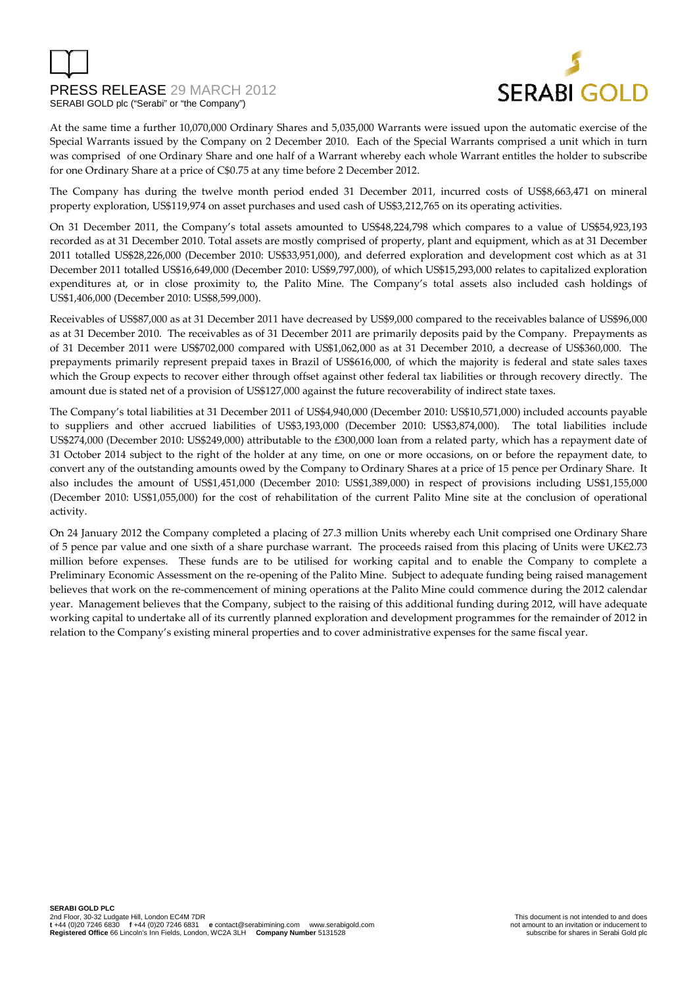

At the same time a further 10,070,000 Ordinary Shares and 5,035,000 Warrants were issued upon the automatic exercise of the Special Warrants issued by the Company on 2 December 2010. Each of the Special Warrants comprised a unit which in turn was comprised of one Ordinary Share and one half of a Warrant whereby each whole Warrant entitles the holder to subscribe for one Ordinary Share at a price of C\$0.75 at any time before 2 December 2012.

The Company has during the twelve month period ended 31 December 2011, incurred costs of US\$8,663,471 on mineral property exploration, US\$119,974 on asset purchases and used cash of US\$3,212,765 on its operating activities.

On 31 December 2011, the Company's total assets amounted to US\$48,224,798 which compares to a value of US\$54,923,193 recorded as at 31 December 2010. Total assets are mostly comprised of property, plant and equipment, which as at 31 December 2011 totalled US\$28,226,000 (December 2010: US\$33,951,000), and deferred exploration and development cost which as at 31 December 2011 totalled US\$16,649,000 (December 2010: US\$9,797,000), of which US\$15,293,000 relates to capitalized exploration expenditures at, or in close proximity to, the Palito Mine. The Company's total assets also included cash holdings of US\$1,406,000 (December 2010: US\$8,599,000).

Receivables of US\$87,000 as at 31 December 2011 have decreased by US\$9,000 compared to the receivables balance of US\$96,000 as at 31 December 2010. The receivables as of 31 December 2011 are primarily deposits paid by the Company. Prepayments as of 31 December 2011 were US\$702,000 compared with US\$1,062,000 as at 31 December 2010, a decrease of US\$360,000. The prepayments primarily represent prepaid taxes in Brazil of US\$616,000, of which the majority is federal and state sales taxes which the Group expects to recover either through offset against other federal tax liabilities or through recovery directly. The amount due is stated net of a provision of US\$127,000 against the future recoverability of indirect state taxes.

The Company's total liabilities at 31 December 2011 of US\$4,940,000 (December 2010: US\$10,571,000) included accounts payable to suppliers and other accrued liabilities of US\$3,193,000 (December 2010: US\$3,874,000). The total liabilities include US\$274,000 (December 2010: US\$249,000) attributable to the £300,000 loan from a related party, which has a repayment date of 31 October 2014 subject to the right of the holder at any time, on one or more occasions, on or before the repayment date, to convert any of the outstanding amounts owed by the Company to Ordinary Shares at a price of 15 pence per Ordinary Share. It also includes the amount of US\$1,451,000 (December 2010: US\$1,389,000) in respect of provisions including US\$1,155,000 (December 2010: US\$1,055,000) for the cost of rehabilitation of the current Palito Mine site at the conclusion of operational activity.

On 24 January 2012 the Company completed a placing of 27.3 million Units whereby each Unit comprised one Ordinary Share of 5 pence par value and one sixth of a share purchase warrant. The proceeds raised from this placing of Units were UK£2.73 million before expenses. These funds are to be utilised for working capital and to enable the Company to complete a Preliminary Economic Assessment on the re-opening of the Palito Mine. Subject to adequate funding being raised management believes that work on the re-commencement of mining operations at the Palito Mine could commence during the 2012 calendar year. Management believes that the Company, subject to the raising of this additional funding during 2012, will have adequate working capital to undertake all of its currently planned exploration and development programmes for the remainder of 2012 in relation to the Company's existing mineral properties and to cover administrative expenses for the same fiscal year.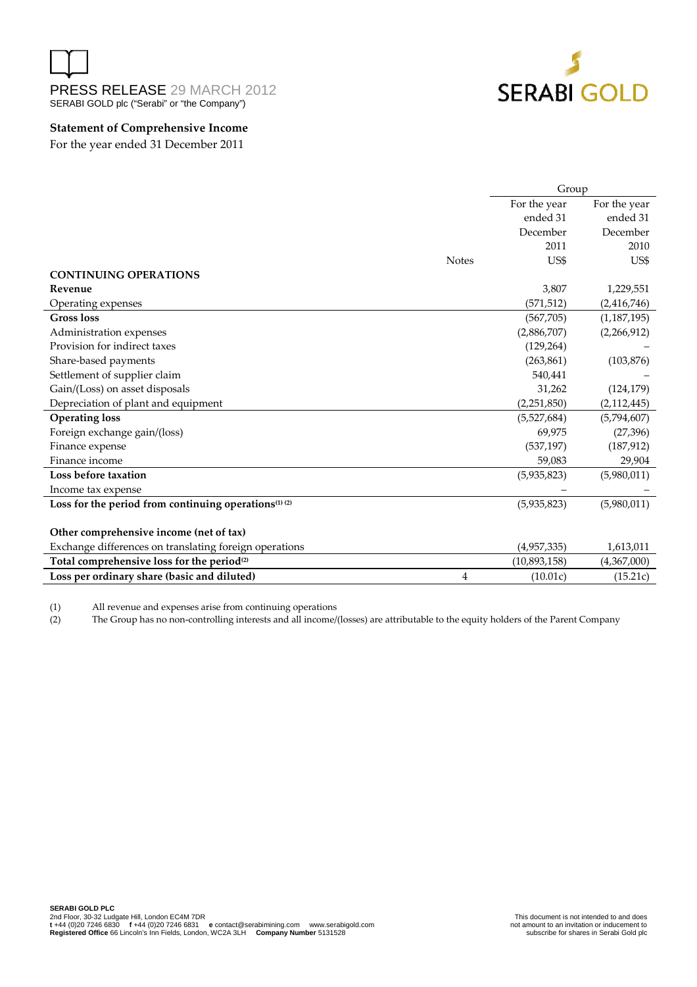



### **Statement of Comprehensive Income**

For the year ended 31 December 2011

|                                                                              |              | Group        |               |
|------------------------------------------------------------------------------|--------------|--------------|---------------|
|                                                                              |              | For the year | For the year  |
|                                                                              |              | ended 31     | ended 31      |
|                                                                              |              | December     | December      |
|                                                                              |              | 2011         | 2010          |
|                                                                              | <b>Notes</b> | US\$         | US\$          |
| <b>CONTINUING OPERATIONS</b>                                                 |              |              |               |
| Revenue                                                                      |              | 3,807        | 1,229,551     |
| Operating expenses                                                           |              | (571, 512)   | (2,416,746)   |
| <b>Gross loss</b>                                                            |              | (567,705)    | (1, 187, 195) |
| Administration expenses                                                      |              | (2,886,707)  | (2,266,912)   |
| Provision for indirect taxes                                                 |              | (129, 264)   |               |
| Share-based payments                                                         |              | (263, 861)   | (103, 876)    |
| Settlement of supplier claim                                                 |              | 540,441      |               |
| Gain/(Loss) on asset disposals                                               |              | 31,262       | (124, 179)    |
| Depreciation of plant and equipment                                          |              | (2,251,850)  | (2, 112, 445) |
| <b>Operating loss</b>                                                        |              | (5,527,684)  | (5,794,607)   |
| Foreign exchange gain/(loss)                                                 |              | 69.975       | (27, 396)     |
| Finance expense                                                              |              | (537, 197)   | (187, 912)    |
| Finance income                                                               |              | 59,083       | 29,904        |
| Loss before taxation                                                         |              | (5,935,823)  | (5,980,011)   |
| Income tax expense                                                           |              |              |               |
| Loss for the period from continuing operations <sup>(1)</sup> <sup>(2)</sup> |              | (5,935,823)  | (5,980,011)   |
|                                                                              |              |              |               |
| Other comprehensive income (net of tax)                                      |              |              |               |
| Exchange differences on translating foreign operations                       |              | (4,957,335)  | 1,613,011     |
| Total comprehensive loss for the period <sup>(2)</sup>                       |              | (10,893,158) | (4,367,000)   |
| Loss per ordinary share (basic and diluted)                                  | 4            | (10.01c)     | (15.21c)      |

(1) All revenue and expenses arise from continuing operations

j.

(2) The Group has no non-controlling interests and all income/(losses) are attributable to the equity holders of the Parent Company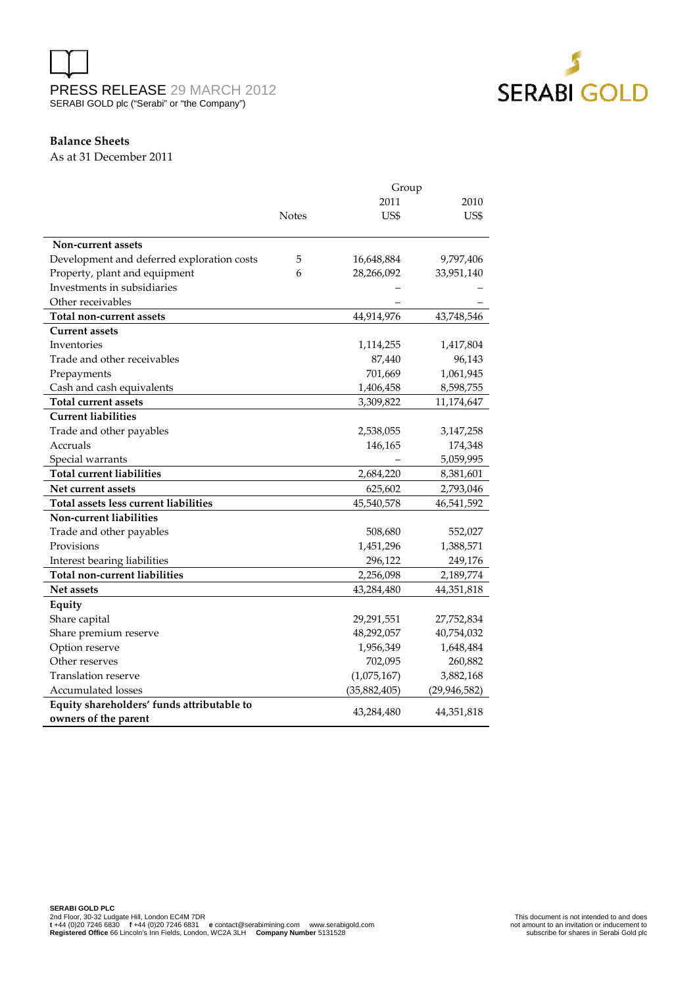



### **Balance Sheets**

As at 31 December 2011

|                                            | Group        |              |                |  |
|--------------------------------------------|--------------|--------------|----------------|--|
|                                            |              | 2011         | 2010           |  |
|                                            | <b>Notes</b> | US\$         | US\$           |  |
|                                            |              |              |                |  |
| Non-current assets                         |              |              |                |  |
| Development and deferred exploration costs | 5            | 16,648,884   | 9,797,406      |  |
| Property, plant and equipment              | 6            | 28,266,092   | 33,951,140     |  |
| Investments in subsidiaries                |              |              |                |  |
| Other receivables                          |              |              |                |  |
| Total non-current assets                   |              | 44,914,976   | 43,748,546     |  |
| <b>Current assets</b>                      |              |              |                |  |
| Inventories                                |              | 1,114,255    | 1,417,804      |  |
| Trade and other receivables                |              | 87,440       | 96,143         |  |
| Prepayments                                |              | 701,669      | 1,061,945      |  |
| Cash and cash equivalents                  |              | 1,406,458    | 8,598,755      |  |
| <b>Total current assets</b>                |              | 3,309,822    | 11,174,647     |  |
| <b>Current liabilities</b>                 |              |              |                |  |
| Trade and other payables                   |              | 2,538,055    | 3,147,258      |  |
| Accruals                                   |              | 146,165      | 174,348        |  |
| Special warrants                           |              |              | 5,059,995      |  |
| Total current liabilities                  |              | 2,684,220    | 8,381,601      |  |
| Net current assets                         |              | 625,602      | 2,793,046      |  |
| Total assets less current liabilities      |              | 45,540,578   | 46,541,592     |  |
| <b>Non-current liabilities</b>             |              |              |                |  |
| Trade and other payables                   |              | 508,680      | 552,027        |  |
| Provisions                                 |              | 1,451,296    | 1,388,571      |  |
| Interest bearing liabilities               |              | 296,122      | 249,176        |  |
| <b>Total non-current liabilities</b>       |              | 2,256,098    | 2,189,774      |  |
| <b>Net assets</b>                          |              | 43,284,480   | 44,351,818     |  |
| Equity                                     |              |              |                |  |
| Share capital                              |              | 29,291,551   | 27,752,834     |  |
| Share premium reserve                      |              | 48,292,057   | 40,754,032     |  |
| Option reserve                             |              | 1,956,349    | 1,648,484      |  |
| Other reserves                             |              | 702,095      | 260,882        |  |
| Translation reserve                        |              | (1,075,167)  | 3,882,168      |  |
| Accumulated losses                         |              | (35,882,405) | (29, 946, 582) |  |
| Equity shareholders' funds attributable to |              |              |                |  |
| owners of the parent                       |              | 43,284,480   | 44,351,818     |  |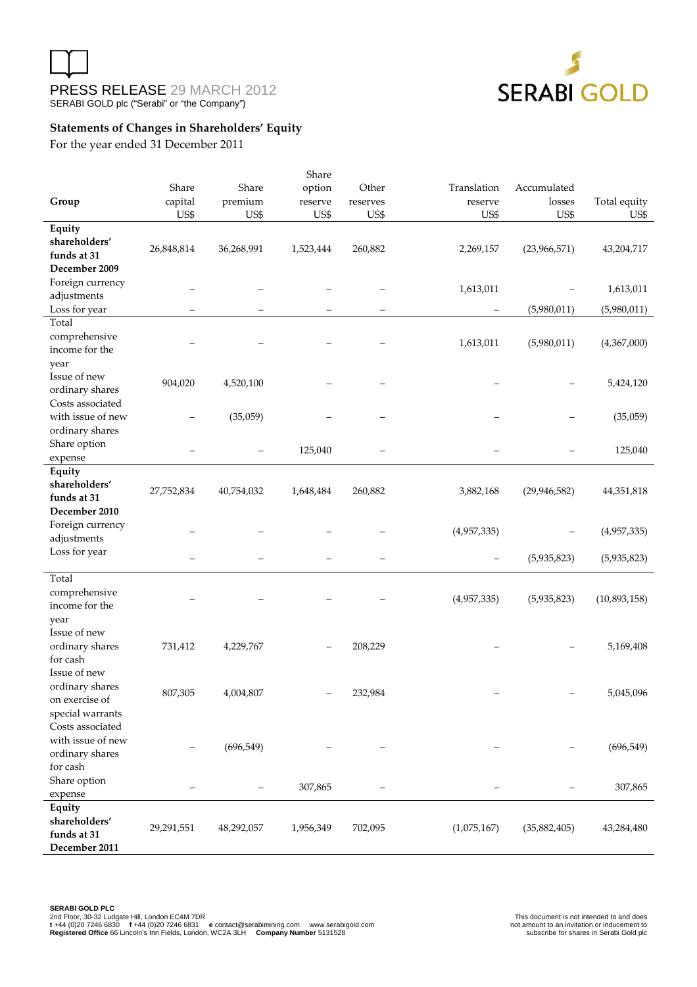



# **Statements of Changes in Shareholders' Equity**

For the year ended 31 December 2011

|                                       |            |            | Share             |          |             |                |              |
|---------------------------------------|------------|------------|-------------------|----------|-------------|----------------|--------------|
|                                       | Share      | Share      | option            | Other    | Translation | Accumulated    |              |
| Group                                 | capital    | premium    | reserve           | reserves | reserve     | losses         | Total equity |
|                                       | US\$       | US\$       | US\$              | US\$     | US\$        | US\$           | US\$         |
| Equity                                |            |            |                   |          |             |                |              |
| shareholders'                         | 26,848,814 | 36,268,991 | 1,523,444         | 260,882  | 2,269,157   | (23,966,571)   | 43,204,717   |
| funds at 31                           |            |            |                   |          |             |                |              |
| December 2009                         |            |            |                   |          |             |                |              |
| Foreign currency                      |            |            |                   |          | 1,613,011   |                | 1,613,011    |
| adjustments                           |            |            |                   |          |             |                |              |
| Loss for year                         |            |            | $\qquad \qquad -$ | -        | -           | (5,980,011)    | (5,980,011)  |
| Total                                 |            |            |                   |          |             |                |              |
| comprehensive                         |            |            |                   |          | 1,613,011   | (5,980,011)    | (4,367,000)  |
| income for the                        |            |            |                   |          |             |                |              |
| year                                  |            |            |                   |          |             |                |              |
| Issue of new                          | 904,020    | 4,520,100  |                   |          |             |                | 5,424,120    |
| ordinary shares                       |            |            |                   |          |             |                |              |
| Costs associated<br>with issue of new |            |            |                   |          |             |                |              |
|                                       |            | (35,059)   |                   |          |             |                | (35,059)     |
| ordinary shares                       |            |            |                   |          |             |                |              |
| Share option                          |            |            | 125,040           |          |             |                | 125,040      |
| expense<br>Equity                     |            |            |                   |          |             |                |              |
| shareholders'                         |            |            |                   |          |             |                |              |
| funds at 31                           | 27,752,834 | 40,754,032 | 1,648,484         | 260,882  | 3,882,168   | (29, 946, 582) | 44,351,818   |
| December 2010                         |            |            |                   |          |             |                |              |
| Foreign currency                      |            |            |                   |          |             |                |              |
| adjustments                           |            |            |                   |          | (4,957,335) |                | (4,957,335)  |
| Loss for year                         |            |            |                   |          |             |                |              |
|                                       |            |            |                   |          | -           | (5,935,823)    | (5,935,823)  |
| Total                                 |            |            |                   |          |             |                |              |
| comprehensive                         |            |            |                   |          |             |                |              |
| income for the                        |            |            |                   |          | (4,957,335) | (5,935,823)    | (10,893,158) |
| year                                  |            |            |                   |          |             |                |              |
| Issue of new                          |            |            |                   |          |             |                |              |
| ordinary shares                       | 731,412    | 4,229,767  |                   | 208,229  |             |                | 5,169,408    |
| for cash                              |            |            |                   |          |             |                |              |
| Issue of new                          |            |            |                   |          |             |                |              |
| ordinary shares                       | 807,305    | 4,004,807  |                   | 232,984  |             |                | 5,045,096    |
| on exercise of                        |            |            |                   |          |             |                |              |
| special warrants                      |            |            |                   |          |             |                |              |
| Costs associated                      |            |            |                   |          |             |                |              |
| with issue of new                     |            | (696, 549) |                   |          |             |                | (696, 549)   |
| ordinary shares                       |            |            |                   |          |             |                |              |
| for cash                              |            |            |                   |          |             |                |              |
| Share option                          |            |            | 307,865           |          |             |                | 307,865      |
| expense                               |            |            |                   |          |             |                |              |
| Equity                                |            |            |                   |          |             |                |              |
| shareholders'                         | 29,291,551 | 48,292,057 | 1,956,349         | 702,095  | (1,075,167) | (35, 882, 405) | 43,284,480   |
| funds at 31                           |            |            |                   |          |             |                |              |
| December 2011                         |            |            |                   |          |             |                |              |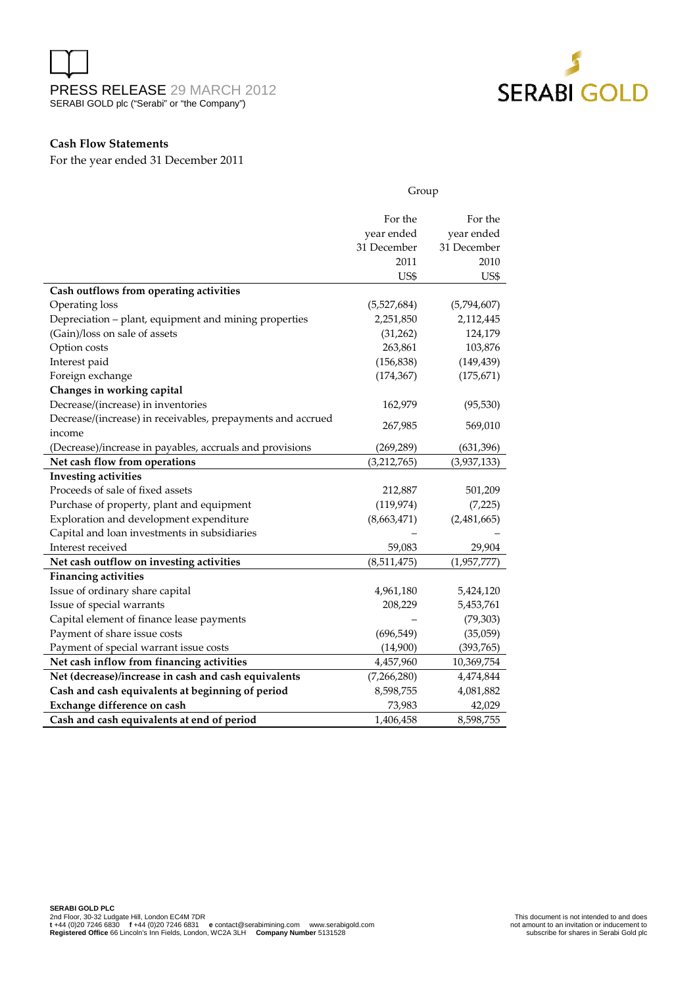



Group

### **Cash Flow Statements**

For the year ended 31 December 2011

|                                                             | stoup       |             |  |
|-------------------------------------------------------------|-------------|-------------|--|
|                                                             | For the     | For the     |  |
|                                                             | year ended  | year ended  |  |
|                                                             | 31 December | 31 December |  |
|                                                             | 2011        | 2010        |  |
|                                                             | US\$        | US\$        |  |
| Cash outflows from operating activities                     |             |             |  |
| Operating loss                                              | (5,527,684) | (5,794,607) |  |
| Depreciation - plant, equipment and mining properties       | 2,251,850   | 2,112,445   |  |
| (Gain)/loss on sale of assets                               | (31,262)    | 124,179     |  |
| Option costs                                                | 263,861     | 103,876     |  |
| Interest paid                                               | (156, 838)  | (149, 439)  |  |
| Foreign exchange                                            | (174, 367)  | (175, 671)  |  |
| Changes in working capital                                  |             |             |  |
| Decrease/(increase) in inventories                          | 162,979     | (95, 530)   |  |
| Decrease/(increase) in receivables, prepayments and accrued | 267,985     | 569,010     |  |
| income                                                      |             |             |  |
| (Decrease)/increase in payables, accruals and provisions    | (269, 289)  | (631, 396)  |  |
| Net cash flow from operations                               | (3,212,765) | (3,937,133) |  |
| <b>Investing activities</b>                                 |             |             |  |
| Proceeds of sale of fixed assets                            | 212,887     | 501,209     |  |
| Purchase of property, plant and equipment                   | (119, 974)  | (7,225)     |  |
| Exploration and development expenditure                     | (8,663,471) | (2,481,665) |  |
| Capital and loan investments in subsidiaries                |             |             |  |
| Interest received                                           | 59,083      | 29,904      |  |
| Net cash outflow on investing activities                    | (8,511,475) | (1,957,777) |  |
| <b>Financing activities</b>                                 |             |             |  |
| Issue of ordinary share capital                             | 4,961,180   | 5,424,120   |  |
| Issue of special warrants                                   | 208,229     | 5,453,761   |  |
| Capital element of finance lease payments                   |             | (79, 303)   |  |
| Payment of share issue costs                                | (696, 549)  | (35,059)    |  |
| Payment of special warrant issue costs                      | (14,900)    | (393,765)   |  |
| Net cash inflow from financing activities                   | 4,457,960   | 10,369,754  |  |
| Net (decrease)/increase in cash and cash equivalents        | (7,266,280) | 4,474,844   |  |
| Cash and cash equivalents at beginning of period            | 8,598,755   | 4,081,882   |  |
| Exchange difference on cash                                 | 73,983      | 42,029      |  |
| Cash and cash equivalents at end of period                  | 1,406,458   | 8,598,755   |  |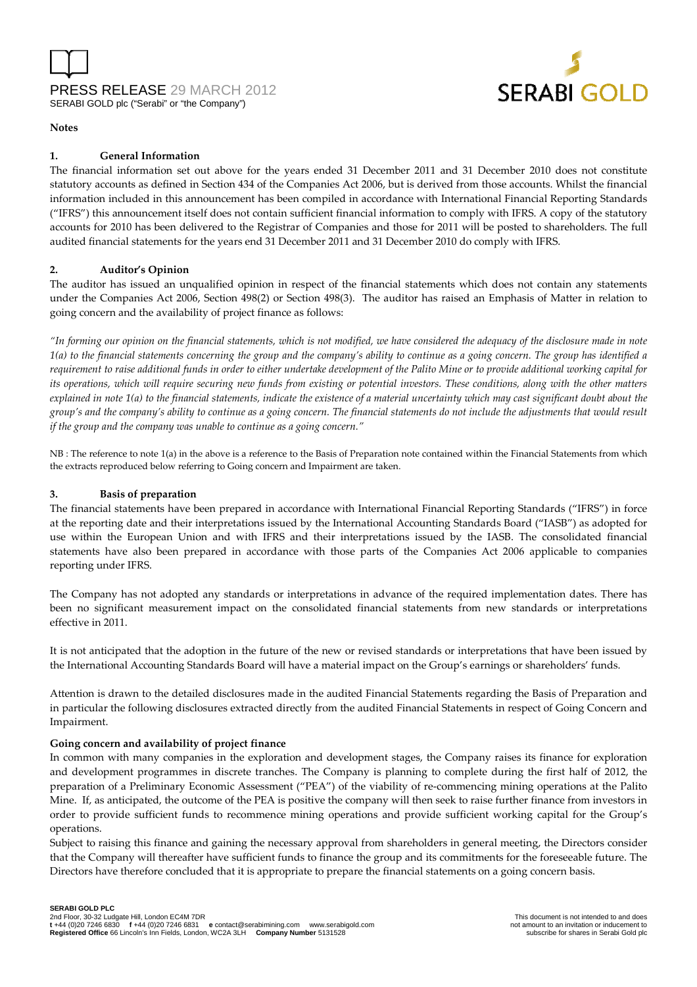



#### **Notes**

#### **1. General Information**

The financial information set out above for the years ended 31 December 2011 and 31 December 2010 does not constitute statutory accounts as defined in Section 434 of the Companies Act 2006, but is derived from those accounts. Whilst the financial information included in this announcement has been compiled in accordance with International Financial Reporting Standards ("IFRS") this announcement itself does not contain sufficient financial information to comply with IFRS. A copy of the statutory accounts for 2010 has been delivered to the Registrar of Companies and those for 2011 will be posted to shareholders. The full audited financial statements for the years end 31 December 2011 and 31 December 2010 do comply with IFRS.

#### **2. Auditor's Opinion**

The auditor has issued an unqualified opinion in respect of the financial statements which does not contain any statements under the Companies Act 2006, Section 498(2) or Section 498(3). The auditor has raised an Emphasis of Matter in relation to going concern and the availability of project finance as follows:

*"In forming our opinion on the financial statements, which is not modified, we have considered the adequacy of the disclosure made in note 1(a) to the financial statements concerning the group and the company's ability to continue as a going concern. The group has identified a requirement to raise additional funds in order to either undertake development of the Palito Mine or to provide additional working capital for its operations, which will require securing new funds from existing or potential investors. These conditions, along with the other matters explained in note 1(a) to the financial statements, indicate the existence of a material uncertainty which may cast significant doubt about the group's and the company's ability to continue as a going concern. The financial statements do not include the adjustments that would result if the group and the company was unable to continue as a going concern."* 

NB : The reference to note 1(a) in the above is a reference to the Basis of Preparation note contained within the Financial Statements from which the extracts reproduced below referring to Going concern and Impairment are taken.

#### **3. Basis of preparation**

The financial statements have been prepared in accordance with International Financial Reporting Standards ("IFRS") in force at the reporting date and their interpretations issued by the International Accounting Standards Board ("IASB") as adopted for use within the European Union and with IFRS and their interpretations issued by the IASB. The consolidated financial statements have also been prepared in accordance with those parts of the Companies Act 2006 applicable to companies reporting under IFRS.

The Company has not adopted any standards or interpretations in advance of the required implementation dates. There has been no significant measurement impact on the consolidated financial statements from new standards or interpretations effective in 2011.

It is not anticipated that the adoption in the future of the new or revised standards or interpretations that have been issued by the International Accounting Standards Board will have a material impact on the Group's earnings or shareholders' funds.

Attention is drawn to the detailed disclosures made in the audited Financial Statements regarding the Basis of Preparation and in particular the following disclosures extracted directly from the audited Financial Statements in respect of Going Concern and Impairment.

#### **Going concern and availability of project finance**

In common with many companies in the exploration and development stages, the Company raises its finance for exploration and development programmes in discrete tranches. The Company is planning to complete during the first half of 2012, the preparation of a Preliminary Economic Assessment ("PEA") of the viability of re-commencing mining operations at the Palito Mine. If, as anticipated, the outcome of the PEA is positive the company will then seek to raise further finance from investors in order to provide sufficient funds to recommence mining operations and provide sufficient working capital for the Group's operations.

Subject to raising this finance and gaining the necessary approval from shareholders in general meeting, the Directors consider that the Company will thereafter have sufficient funds to finance the group and its commitments for the foreseeable future. The Directors have therefore concluded that it is appropriate to prepare the financial statements on a going concern basis.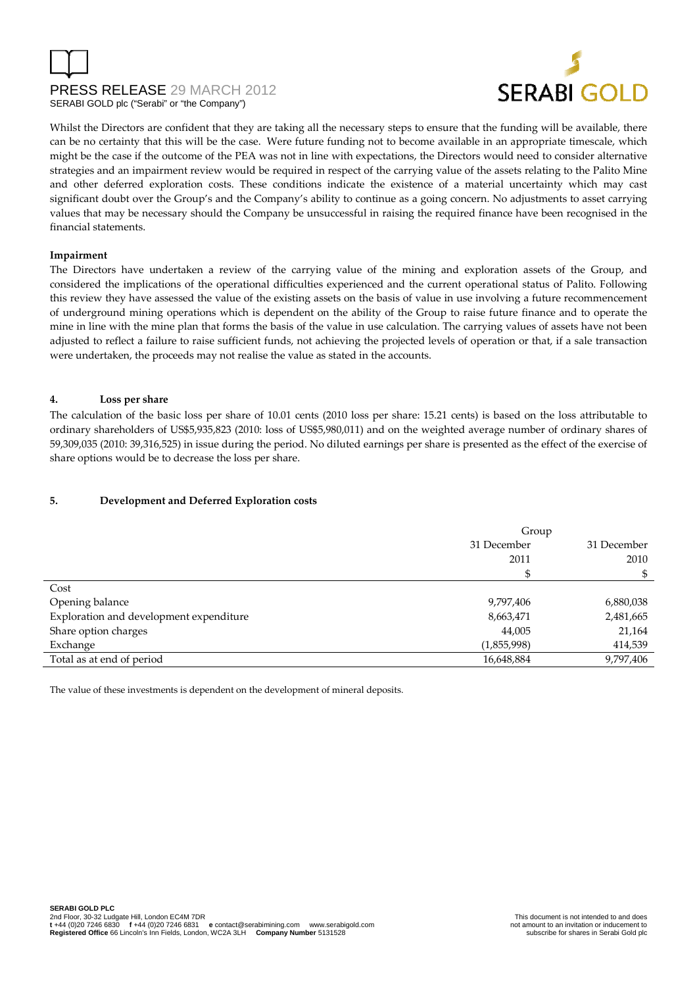

Whilst the Directors are confident that they are taking all the necessary steps to ensure that the funding will be available, there can be no certainty that this will be the case. Were future funding not to become available in an appropriate timescale, which might be the case if the outcome of the PEA was not in line with expectations, the Directors would need to consider alternative strategies and an impairment review would be required in respect of the carrying value of the assets relating to the Palito Mine and other deferred exploration costs. These conditions indicate the existence of a material uncertainty which may cast significant doubt over the Group's and the Company's ability to continue as a going concern. No adjustments to asset carrying values that may be necessary should the Company be unsuccessful in raising the required finance have been recognised in the financial statements.

### **Impairment**

The Directors have undertaken a review of the carrying value of the mining and exploration assets of the Group, and considered the implications of the operational difficulties experienced and the current operational status of Palito. Following this review they have assessed the value of the existing assets on the basis of value in use involving a future recommencement of underground mining operations which is dependent on the ability of the Group to raise future finance and to operate the mine in line with the mine plan that forms the basis of the value in use calculation. The carrying values of assets have not been adjusted to reflect a failure to raise sufficient funds, not achieving the projected levels of operation or that, if a sale transaction were undertaken, the proceeds may not realise the value as stated in the accounts.

#### **4. Loss per share**

The calculation of the basic loss per share of 10.01 cents (2010 loss per share: 15.21 cents) is based on the loss attributable to ordinary shareholders of US\$5,935,823 (2010: loss of US\$5,980,011) and on the weighted average number of ordinary shares of 59,309,035 (2010: 39,316,525) in issue during the period. No diluted earnings per share is presented as the effect of the exercise of share options would be to decrease the loss per share.

### **5. Development and Deferred Exploration costs**

|                                         | Group       |             |  |
|-----------------------------------------|-------------|-------------|--|
|                                         | 31 December | 31 December |  |
|                                         | 2011        | 2010        |  |
|                                         |             |             |  |
| Cost                                    |             |             |  |
| Opening balance                         | 9,797,406   | 6,880,038   |  |
| Exploration and development expenditure | 8,663,471   | 2,481,665   |  |
| Share option charges                    | 44,005      | 21,164      |  |
| Exchange                                | (1,855,998) | 414,539     |  |
| Total as at end of period               | 16,648,884  | 9,797,406   |  |

The value of these investments is dependent on the development of mineral deposits.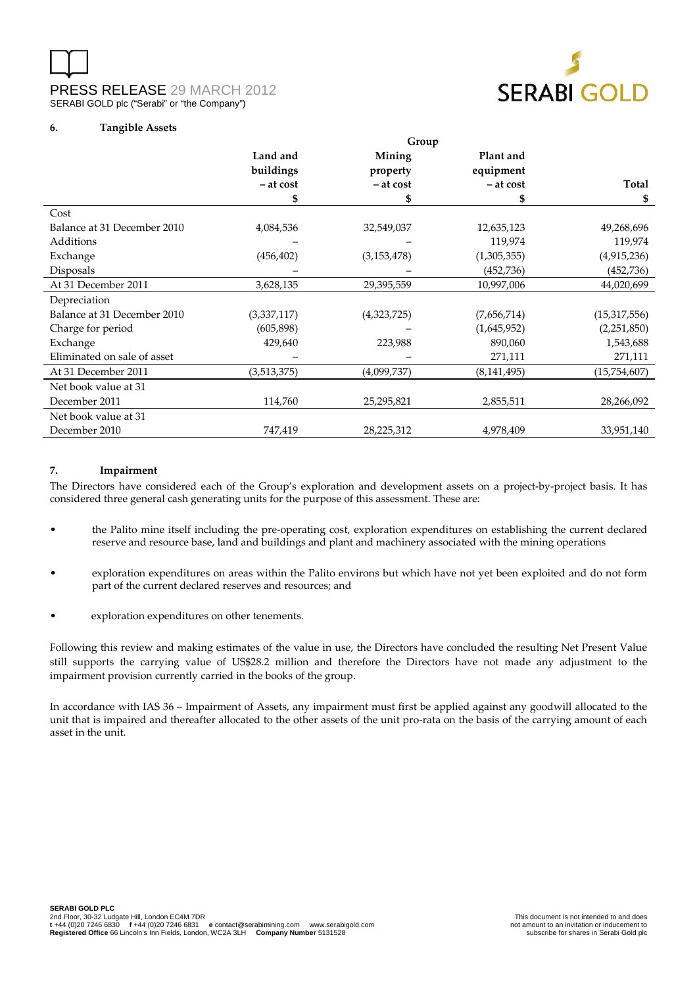



| Land and    | Mining                       | Plant and                     |                              |
|-------------|------------------------------|-------------------------------|------------------------------|
|             |                              |                               | <b>Total</b>                 |
|             |                              |                               |                              |
|             |                              |                               | \$                           |
|             |                              |                               |                              |
| 4,084,536   | 32,549,037                   | 12,635,123                    | 49,268,696                   |
|             |                              | 119,974                       | 119,974                      |
| (456, 402)  | (3, 153, 478)                | (1,305,355)                   | (4,915,236)                  |
|             |                              | (452, 736)                    | (452, 736)                   |
| 3,628,135   | 29,395,559                   | 10,997,006                    | 44,020,699                   |
|             |                              |                               |                              |
| (3,337,117) | (4,323,725)                  | (7,656,714)                   | (15, 317, 556)               |
| (605, 898)  |                              | (1,645,952)                   | (2,251,850)                  |
| 429,640     | 223,988                      | 890,060                       | 1,543,688                    |
|             |                              | 271,111                       | 271,111                      |
| (3,513,375) | (4,099,737)                  | (8, 141, 495)                 | (15,754,607)                 |
|             |                              |                               |                              |
| 114,760     | 25,295,821                   | 2,855,511                     | 28,266,092                   |
|             |                              |                               |                              |
| 747,419     | 28,225,312                   | 4,978,409                     | 33,951,140                   |
|             | buildings<br>- at cost<br>\$ | property<br>$-$ at cost<br>\$ | equipment<br>- at cost<br>\$ |

**Group** 

#### **7. Impairment**

The Directors have considered each of the Group's exploration and development assets on a project-by-project basis. It has considered three general cash generating units for the purpose of this assessment. These are:

- the Palito mine itself including the pre-operating cost, exploration expenditures on establishing the current declared reserve and resource base, land and buildings and plant and machinery associated with the mining operations
- exploration expenditures on areas within the Palito environs but which have not yet been exploited and do not form part of the current declared reserves and resources; and
- exploration expenditures on other tenements.

Following this review and making estimates of the value in use, the Directors have concluded the resulting Net Present Value still supports the carrying value of US\$28.2 million and therefore the Directors have not made any adjustment to the impairment provision currently carried in the books of the group.

In accordance with IAS 36 – Impairment of Assets, any impairment must first be applied against any goodwill allocated to the unit that is impaired and thereafter allocated to the other assets of the unit pro-rata on the basis of the carrying amount of each asset in the unit.